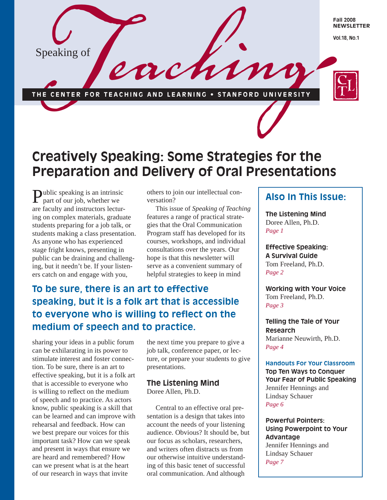

# **Creatively Speaking: Some Strategies for the Preparation and Delivery of Oral Presentations**

Public speaking is an intrinsic part of our job, whether we are faculty and instructors lecturing on complex materials, graduate students preparing for a job talk, or students making a class presentation. As anyone who has experienced stage fright knows, presenting in public can be draining and challenging, but it needn't be. If your listeners catch on and engage with you,

others to join our intellectual conversation?

 This issue of *Speaking of Teaching* features a range of practical strategies that the Oral Communication Program staff has developed for its courses, workshops, and individual consultations over the years. Our hope is that this newsletter will serve as a convenient summary of helpful strategies to keep in mind

# **To be sure, there is an art to effective speaking, but it is a folk art that is accessible** to everyone who is willing to reflect on the **medium of speech and to practice.**

sharing your ideas in a public forum can be exhilarating in its power to stimulate interest and foster connection. To be sure, there is an art to effective speaking, but it is a folk art that is accessible to everyone who is willing to reflect on the medium of speech and to practice. As actors know, public speaking is a skill that can be learned and can improve with rehearsal and feedback. How can we best prepare our voices for this important task? How can we speak and present in ways that ensure we are heard and remembered? How can we present what is at the heart of our research in ways that invite

the next time you prepare to give a job talk, conference paper, or lecture, or prepare your students to give presentations.

## **The Listening Mind** Doree Allen, Ph.D.

 Central to an effective oral presentation is a design that takes into account the needs of your listening audience. Obvious? It should be, but our focus as scholars, researchers, and writers often distracts us from our otherwise intuitive understanding of this basic tenet of successful oral communication. And although

# **Also In This Issue:**

**The Listening Mind** Doree Allen, Ph.D. *Page 1*

**Effective Speaking: A Survival Guide** Tom Freeland, Ph.D. *Page 2*

**Working with Your Voice**  Tom Freeland, Ph.D. *Page 3*

**Telling the Tale of Your Research** Marianne Neuwirth, Ph.D. *Page 4*

**Handouts For Your Classroom Top Ten Ways to Conquer Your Fear of Public Speaking** Jennifer Hennings and Lindsay Schauer *Page 6*

**Powerful Pointers: Using Powerpoint to Your Advantage** Jennifer Hennings and Lindsay Schauer *Page 7*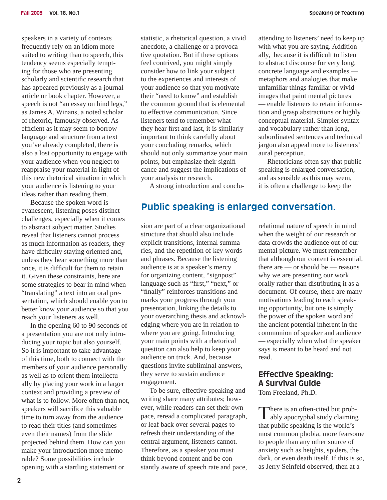speakers in a variety of contexts frequently rely on an idiom more suited to writing than to speech, this tendency seems especially tempting for those who are presenting scholarly and scientific research that has appeared previously as a journal article or book chapter. However, a speech is not "an essay on hind legs," as James A. Winans, a noted scholar of rhetoric, famously observed. As efficient as it may seem to borrow language and structure from a text you've already completed, there is also a lost opportunity to engage with your audience when you neglect to reappraise your material in light of this new rhetorical situation in which your audience is listening to your ideas rather than reading them.

 Because the spoken word is evanescent, listening poses distinct challenges, especially when it comes to abstract subject matter. Studies reveal that listeners cannot process as much information as readers, they have difficulty staying oriented and, unless they hear something more than once, it is difficult for them to retain it. Given these constraints, here are some strategies to bear in mind when "translating" a text into an oral presentation, which should enable you to better know your audience so that you reach your listeners as well.

 In the opening 60 to 90 seconds of a presentation you are not only introducing your topic but also yourself. So it is important to take advantage of this time, both to connect with the members of your audience personally as well as to orient them intellectually by placing your work in a larger context and providing a preview of what is to follow. More often than not, speakers will sacrifice this valuable time to turn away from the audience to read their titles (and sometimes even their names) from the slide projected behind them. How can you make your introduction more memorable? Some possibilities include opening with a startling statement or

statistic, a rhetorical question, a vivid anecdote, a challenge or a provocative quotation. But if these options feel contrived, you might simply consider how to link your subject to the experiences and interests of your audience so that you motivate their "need to know" and establish the common ground that is elemental to effective communication. Since listeners tend to remember what they hear first and last, it is similarly important to think carefully about your concluding remarks, which should not only summarize your main points, but emphasize their significance and suggest the implications of your analysis or research.

A strong introduction and conclu-

# **Public speaking is enlarged conversation.**

sion are part of a clear organizational structure that should also include explicit transitions, internal summaries, and the repetition of key words and phrases. Because the listening audience is at a speaker's mercy for organizing content, "signpost" language such as "first," "next," or "finally" reinforces transitions and marks your progress through your presentation, linking the details to your overarching thesis and acknowledging where you are in relation to where you are going. Introducing your main points with a rhetorical question can also help to keep your audience on track. And, because questions invite subliminal answers, they serve to sustain audience engagement.

 To be sure, effective speaking and writing share many attributes; however, while readers can set their own pace, reread a complicated paragraph, or leaf back over several pages to refresh their understanding of the central argument, listeners cannot. Therefore, as a speaker you must think beyond content and be constantly aware of speech rate and pace,

attending to listeners' need to keep up with what you are saying. Additionally, because it is difficult to listen to abstract discourse for very long, concrete language and examples metaphors and analogies that make unfamiliar things familiar or vivid images that paint mental pictures — enable listeners to retain information and grasp abstractions or highly conceptual material. Simpler syntax and vocabulary rather than long, subordinated sentences and technical jargon also appeal more to listeners' aural perception.

 Rhetoricians often say that public speaking is enlarged conversation, and as sensible as this may seem, it is often a challenge to keep the

relational nature of speech in mind when the weight of our research or data crowds the audience out of our mental picture. We must remember that although our content is essential, there are — or should be — reasons why we are presenting our work orally rather than distributing it as a document. Of course, there are many motivations leading to each speaking opportunity, but one is simply the power of the spoken word and the ancient potential inherent in the communion of speaker and audience — especially when what the speaker says is meant to be heard and not read.

# **Effective Speaking: A Survival Guide**

Tom Freeland, Ph.D.

There is an often-cited but prob-<br>ably apocryphal study claiming that public speaking is the world's most common phobia, more fearsome to people than any other source of anxiety such as heights, spiders, the dark, or even death itself. If this is so, as Jerry Seinfeld observed, then at a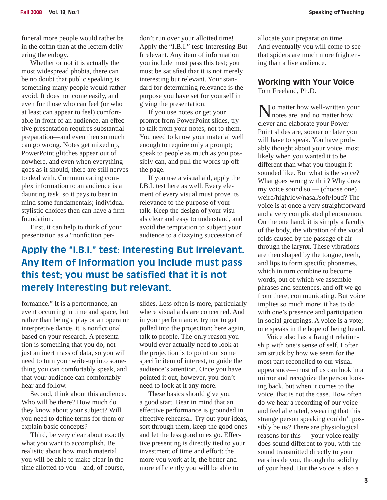funeral more people would rather be in the coffin than at the lectern delivering the eulogy.

 Whether or not it is actually the most widespread phobia, there can be no doubt that public speaking is something many people would rather avoid. It does not come easily, and even for those who can feel (or who at least can appear to feel) comfortable in front of an audience, an effective presentation requires substantial preparation—and even then so much can go wrong. Notes get mixed up, PowerPoint glitches appear out of nowhere, and even when everything goes as it should, there are still nerves to deal with. Communicating complex information to an audience is a daunting task, so it pays to bear in mind some fundamentals; individual stylistic choices then can have a firm foundation.

 First, it can help to think of your presentation as a "nonfiction perdon't run over your allotted time! Apply the "I.B.I." test: Interesting But Irrelevant. Any item of information you include must pass this test; you must be satisfied that it is not merely interesting but relevant. Your standard for determining relevance is the purpose you have set for yourself in giving the presentation.

 If you use notes or get your prompt from PowerPoint slides, try to talk from your notes, not to them. You need to know your material well enough to require only a prompt; speak to people as much as you possibly can, and pull the words up off the page.

 If you use a visual aid, apply the I.B.I. test here as well. Every element of every visual must prove its relevance to the purpose of your talk. Keep the design of your visuals clear and easy to understand, and avoid the temptation to subject your audience to a dizzying succession of

# **Apply the "I.B.I." test: Interesting But Irrelevant. Any item of information you include must pass**  this test; you must be satisfied that it is not **merely interesting but relevant.**

formance." It is a performance, an event occurring in time and space, but rather than being a play or an opera or interpretive dance, it is nonfictional, based on your research. A presentation is something that you do, not just an inert mass of data, so you will need to turn your write-up into something you can comfortably speak, and that your audience can comfortably hear and follow.

 Second, think about this audience. Who will be there? How much do they know about your subject? Will you need to define terms for them or explain basic concepts?

 Third, be very clear about exactly what you want to accomplish. Be realistic about how much material you will be able to make clear in the time allotted to you—and, of course,

slides. Less often is more, particularly where visual aids are concerned. And in your performance, try not to get pulled into the projection: here again, talk to people. The only reason you would ever actually need to look at the projection is to point out some specific item of interest, to guide the audience's attention. Once you have pointed it out, however, you don't need to look at it any more.

 These basics should give you a good start. Bear in mind that an effective performance is grounded in effective rehearsal. Try out your ideas, sort through them, keep the good ones and let the less good ones go. Effective presenting is directly tied to your investment of time and effort: the more you work at it, the better and more efficiently you will be able to

allocate your preparation time. And eventually you will come to see that spiders are much more frightening than a live audience.

#### **Working with Your Voice**  Tom Freeland, Ph.D.

No matter how well-written your notes are, and no matter how clever and elaborate your Power-Point slides are, sooner or later you will have to speak. You have probably thought about your voice, most likely when you wanted it to be different than what you thought it sounded like. But what is the voice? What goes wrong with it? Why does my voice sound so — (choose one) weird/high/low/nasal/soft/loud? The voice is at once a very straightforward and a very complicated phenomenon. On the one hand, it is simply a faculty of the body, the vibration of the vocal folds caused by the passage of air through the larynx. These vibrations are then shaped by the tongue, teeth, and lips to form specific phonemes, which in turn combine to become words, out of which we assemble phrases and sentences, and off we go from there, communicating. But voice implies so much more: it has to do with one's presence and participation in social groupings. A voice is a vote; one speaks in the hope of being heard.

 Voice also has a fraught relationship with one's sense of self. I often am struck by how we seem for the most part reconciled to our visual appearance—most of us can look in a mirror and recognize the person looking back, but when it comes to the voice, that is not the case. How often do we hear a recording of our voice and feel alienated, swearing that this strange person speaking couldn't possibly be us? There are physiological reasons for this — your voice really does sound different to you, with the sound transmitted directly to your ears inside you, through the solidity of your head. But the voice is also a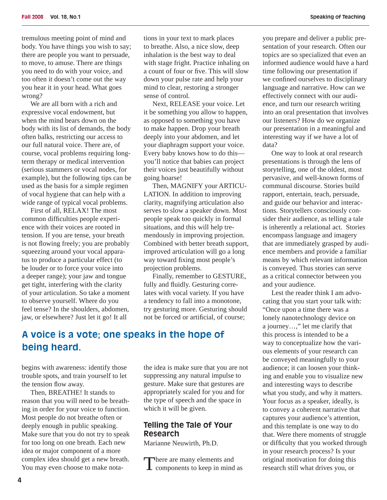tremulous meeting point of mind and body. You have things you wish to say; there are people you want to persuade, to move, to amuse. There are things you need to do with your voice, and too often it doesn't come out the way you hear it in your head. What goes wrong?

 We are all born with a rich and expressive vocal endowment, but when the mind bears down on the body with its list of demands, the body often balks, restricting our access to our full natural voice. There are, of course, vocal problems requiring longterm therapy or medical intervention (serious stammers or vocal nodes, for example), but the following tips can be used as the basis for a simple regimen of vocal hygiene that can help with a wide range of typical vocal problems.

 First of all, RELAX! The most common difficulties people experience with their voices are rooted in tension. If you are tense, your breath is not flowing freely; you are probably squeezing around your vocal apparatus to produce a particular effect (to be louder or to force your voice into a deeper range); your jaw and tongue get tight, interfering with the clarity of your articulation. So take a moment to observe yourself. Where do you feel tense? In the shoulders, abdomen, jaw, or elsewhere? Just let it go! It all

tions in your text to mark places to breathe. Also, a nice slow, deep inhalation is the best way to deal with stage fright. Practice inhaling on a count of four or five. This will slow down your pulse rate and help your mind to clear, restoring a stronger sense of control.

 Next, RELEASE your voice. Let it be something you allow to happen, as opposed to something you have to make happen. Drop your breath deeply into your abdomen, and let your diaphragm support your voice. Every baby knows how to do this you'll notice that babies can project their voices just beautifully without going hoarse!

 Then, MAGNIFY your ARTICU-LATION. In addition to improving clarity, magnifying articulation also serves to slow a speaker down. Most people speak too quickly in formal situations, and this will help tremendously in improving projection. Combined with better breath support, improved articulation will go a long way toward fixing most people's projection problems.

 Finally, remember to GESTURE, fully and fluidly. Gesturing correlates with vocal variety. If you have a tendency to fall into a monotone, try gesturing more. Gesturing should not be forced or artificial, of course:

# **A voice is a vote; one speaks in the hope of being heard.**

begins with awareness: identify those trouble spots, and train yourself to let the tension flow away.

 Then, BREATHE! It stands to reason that you will need to be breathing in order for your voice to function. Most people do not breathe often or deeply enough in public speaking. Make sure that you do not try to speak for too long on one breath. Each new idea or major component of a more complex idea should get a new breath. You may even choose to make notathe idea is make sure that you are not suppressing any natural impulse to gesture. Make sure that gestures are appropriately scaled for you and for the type of speech and the space in which it will be given.

## **Telling the Tale of Your Research**

Marianne Neuwirth, Ph.D.

There are many elements and<br>
components to keep in mind as

you prepare and deliver a public presentation of your research. Often our topics are so specialized that even an informed audience would have a hard time following our presentation if we confined ourselves to disciplinary language and narrative. How can we effectively connect with our audience, and turn our research writing into an oral presentation that involves our listeners? How do we organize our presentation in a meaningful and interesting way if we have a lot of data?

 One way to look at oral research presentations is through the lens of storytelling, one of the oldest, most pervasive, and well-known forms of communal discourse. Stories build rapport, entertain, teach, persuade, and guide our behavior and interactions. Storytellers consciously consider their audience, as telling a tale is inherently a relational act. Stories encompass language and imagery that are immediately grasped by audience members and provide a familiar means by which relevant information is conveyed. Thus stories can serve as a critical connector between you and your audience.

 Lest the reader think I am advocating that you start your talk with: "Once upon a time there was a lonely nanotechnology device on a journey…," let me clarify that this process is intended to be a way to conceptualize how the various elements of your research can be conveyed meaningfully to your audience; it can loosen your thinking and enable you to visualize new and interesting ways to describe what you study, and why it matters. Your focus as a speaker, ideally, is to convey a coherent narrative that captures your audience's attention, and this template is one way to do that. Were there moments of struggle or difficulty that you worked through in your research process? Is your original motivation for doing this research still what drives you, or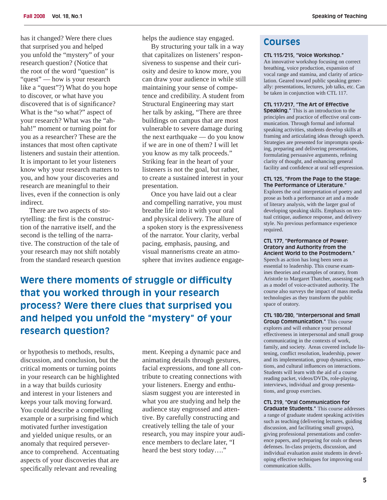has it changed? Were there clues that surprised you and helped you unfold the "mystery" of your research question? (Notice that the root of the word "question" is "quest" — how is your research like a "quest"?) What do you hope to discover, or what have you discovered that is of significance? What is the "so what?" aspect of your research? What was the "ahhah!" moment or turning point for you as a researcher? These are the instances that most often captivate listeners and sustain their attention. It is important to let your listeners know why your research matters to you, and how your discoveries and research are meaningful to their lives, even if the connection is only indirect.

 There are two aspects of storytelling: the first is the construction of the narrative itself, and the second is the telling of the narrative. The construction of the tale of your research may not shift notably from the standard research question helps the audience stay engaged.

 By structuring your talk in a way that capitalizes on listeners' responsiveness to suspense and their curiosity and desire to know more, you can draw your audience in while still maintaining your sense of competence and credibility. A student from Structural Engineering may start her talk by asking, "There are three buildings on campus that are most vulnerable to severe damage during the next earthquake — do you know if we are in one of them? I will let you know as my talk proceeds." Striking fear in the heart of your listeners is not the goal, but rather, to create a sustained interest in your presentation.

 Once you have laid out a clear and compelling narrative, you must breathe life into it with your oral and physical delivery. The allure of a spoken story is the expressiveness of the narrator. Your clarity, verbal pacing, emphasis, pausing, and visual mannerisms create an atmosphere that invites audience engage-

**Were there moments of struggle or difficulty that you worked through in your research process? Were there clues that surprised you and helped you unfold the "mystery" of your research question?** 

or hypothesis to methods, results, discussion, and conclusion, but the critical moments or turning points in your research can be highlighted in a way that builds curiosity and interest in your listeners and keeps your talk moving forward. You could describe a compelling example or a surprising find which motivated further investigation and yielded unique results, or an anomaly that required perseverance to comprehend. Accentuating aspects of your discoveries that are specifically relevant and revealing

ment. Keeping a dynamic pace and animating details through gestures, facial expressions, and tone all contribute to creating connections with your listeners. Energy and enthusiasm suggest you are interested in what you are studying and help the audience stay engrossed and attentive. By carefully constructing and creatively telling the tale of your research, you may inspire your audience members to declare later, "I heard the best story today…."

## **Courses**

#### **CTL 115/215, "Voice Workshop."**

An innovative workshop focusing on correct breathing, voice production, expansion of vocal range and stamina, and clarity of articulation. Geared toward public speaking generally: presentations, lectures, job talks, etc. Can be taken in conjunction with CTL 117.

**CTL 117/217, "The Art of Effective** 

**Speaking."** This is an introduction to the principles and practice of effective oral communication. Through formal and informal speaking activities, students develop skills at framing and articulating ideas through speech. Strategies are presented for impromptu speaking, preparing and delivering presentations, formulating persuasive arguments, refining clarity of thought, and enhancing general facility and confidence at oral self-expression.

#### **CTL 125, "From the Page to the Stage: The Performance of Literature."**

Explores the oral interpretation of poetry and prose as both a performance art and a mode of literary analysis, with the larger goal of developing speaking skills. Emphasis on textual critique, audience response, and delivery style. No previous performance experience required.

#### **CTL 177, "Performance of Power: Oratory and Authority from the Ancient World to the Postmodern."**

Speech as action has long been seen as essential to leadership. This course examines theories and examples of oratory, from Aristotle to Margaret Thatcher, assessing each as a model of voice-activated authority. The course also surveys the impact of mass media technologies as they transform the public space of oratory.

#### **CTL 180/280, "Interpersonal and Small Group Communication."** This course

explores and will enhance your personal effectiveness in interpersonal and small group communicating in the contexts of work, family, and society. Areas covered include listening, conflict resolution, leadership, power and its implementation, group dynamics, emotions, and cultural influences on interactions. Students will learn with the aid of a course reading packet, videos/DVDs, role-playing, interviews, individual and group presentations, and group exercises.

#### **CTL 219, "Oral Communication for**

**Graduate Students."** This course addresses a range of graduate student speaking activities such as teaching (delivering lectures, guiding discussion, and facilitating small groups), giving professional presentations and conference papers, and preparing for orals or theses defenses. In-class projects, discussion, and individual evaluation assist students in developing effective techniques for improving oral communication skills.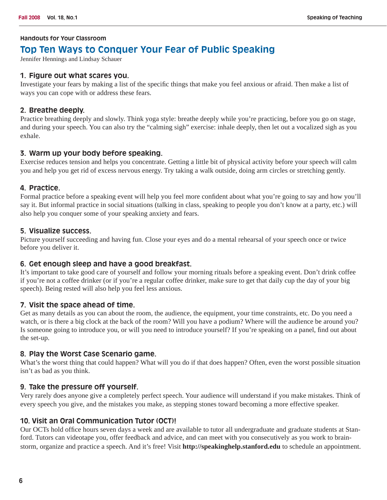#### **Handouts for Your Classroom**

# **Top Ten Ways to Conquer Your Fear of Public Speaking**

Jennifer Hennings and Lindsay Schauer

#### **1. Figure out what scares you.**

Investigate your fears by making a list of the specific things that make you feel anxious or afraid. Then make a list of ways you can cope with or address these fears.

#### **2. Breathe deeply.**

Practice breathing deeply and slowly. Think yoga style: breathe deeply while you're practicing, before you go on stage, and during your speech. You can also try the "calming sigh" exercise: inhale deeply, then let out a vocalized sigh as you exhale.

### **3. Warm up your body before speaking.**

Exercise reduces tension and helps you concentrate. Getting a little bit of physical activity before your speech will calm you and help you get rid of excess nervous energy. Try taking a walk outside, doing arm circles or stretching gently.

#### **4. Practice.**

Formal practice before a speaking event will help you feel more confident about what you're going to say and how you'll say it. But informal practice in social situations (talking in class, speaking to people you don't know at a party, etc.) will also help you conquer some of your speaking anxiety and fears.

#### **5. Visualize success.**

Picture yourself succeeding and having fun. Close your eyes and do a mental rehearsal of your speech once or twice before you deliver it.

### **6. Get enough sleep and have a good breakfast.**

It's important to take good care of yourself and follow your morning rituals before a speaking event. Don't drink coffee if you're not a coffee drinker (or if you're a regular coffee drinker, make sure to get that daily cup the day of your big speech). Being rested will also help you feel less anxious.

### **7. Visit the space ahead of time.**

Get as many details as you can about the room, the audience, the equipment, your time constraints, etc. Do you need a watch, or is there a big clock at the back of the room? Will you have a podium? Where will the audience be around you? Is someone going to introduce you, or will you need to introduce yourself? If you're speaking on a panel, find out about the set-up.

#### **8. Play the Worst Case Scenario game.**

What's the worst thing that could happen? What will you do if that does happen? Often, even the worst possible situation isn't as bad as you think.

#### **9. Take the pressure off yourself.**

Very rarely does anyone give a completely perfect speech. Your audience will understand if you make mistakes. Think of every speech you give, and the mistakes you make, as stepping stones toward becoming a more effective speaker.

### **10. Visit an Oral Communication Tutor (OCT)!**

Our OCTs hold office hours seven days a week and are available to tutor all undergraduate and graduate students at Stanford. Tutors can videotape you, offer feedback and advice, and can meet with you consecutively as you work to brainstorm, organize and practice a speech. And it's free! Visit **http://speakinghelp.stanford.edu** to schedule an appointment.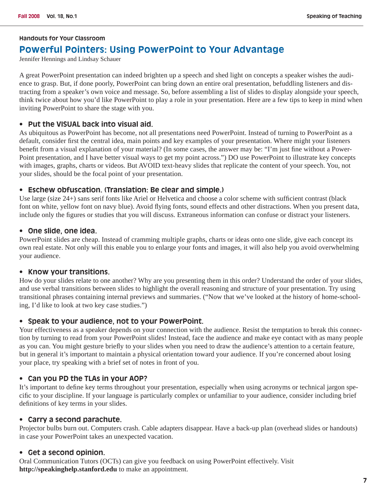#### **Handouts for Your Classroom**

# **Powerful Pointers: Using PowerPoint to Your Advantage**

Jennifer Hennings and Lindsay Schauer

A great PowerPoint presentation can indeed brighten up a speech and shed light on concepts a speaker wishes the audience to grasp. But, if done poorly, PowerPoint can bring down an entire oral presentation, befuddling listeners and distracting from a speaker's own voice and message. So, before assembling a list of slides to display alongside your speech, think twice about how you'd like PowerPoint to play a role in your presentation. Here are a few tips to keep in mind when inviting PowerPoint to share the stage with you.

#### **• Put the VISUAL back into visual aid.**

As ubiquitous as PowerPoint has become, not all presentations need PowerPoint. Instead of turning to PowerPoint as a default, consider first the central idea, main points and key examples of your presentation. Where might your listeners benefit from a visual explanation of your material? (In some cases, the answer may be: "I'm just fine without a Power-Point presentation, and I have better visual ways to get my point across.") DO use PowerPoint to illustrate key concepts with images, graphs, charts or videos. But AVOID text-heavy slides that replicate the content of your speech. You, not your slides, should be the focal point of your presentation.

#### **• Eschew obfuscation. (Translation: Be clear and simple.)**

Use large (size 24+) sans serif fonts like Ariel or Helvetica and choose a color scheme with sufficient contrast (black font on white, yellow font on navy blue). Avoid flying fonts, sound effects and other distractions. When you present data, include only the figures or studies that you will discuss. Extraneous information can confuse or distract your listeners.

#### **• One slide, one idea.**

PowerPoint slides are cheap. Instead of cramming multiple graphs, charts or ideas onto one slide, give each concept its own real estate. Not only will this enable you to enlarge your fonts and images, it will also help you avoid overwhelming your audience.

#### **• Know your transitions.**

How do your slides relate to one another? Why are you presenting them in this order? Understand the order of your slides, and use verbal transitions between slides to highlight the overall reasoning and structure of your presentation. Try using transitional phrases containing internal previews and summaries. ("Now that we've looked at the history of home-schooling, I'd like to look at two key case studies.")

#### **• Speak to your audience, not to your PowerPoint.**

Your effectiveness as a speaker depends on your connection with the audience. Resist the temptation to break this connection by turning to read from your PowerPoint slides! Instead, face the audience and make eye contact with as many people as you can. You might gesture briefly to your slides when you need to draw the audience's attention to a certain feature, but in general it's important to maintain a physical orientation toward your audience. If you're concerned about losing your place, try speaking with a brief set of notes in front of you.

#### **• Can you PD the TLAs in your AOP?**

It's important to define key terms throughout your presentation, especially when using acronyms or technical jargon specific to your discipline. If your language is particularly complex or unfamiliar to your audience, consider including brief definitions of key terms in your slides.

#### **• Carry a second parachute.**

Projector bulbs burn out. Computers crash. Cable adapters disappear. Have a back-up plan (overhead slides or handouts) in case your PowerPoint takes an unexpected vacation.

#### **• Get a second opinion.**

Oral Communication Tutors (OCTs) can give you feedback on using PowerPoint effectively. Visit **http://speakinghelp.stanford.edu** to make an appointment.